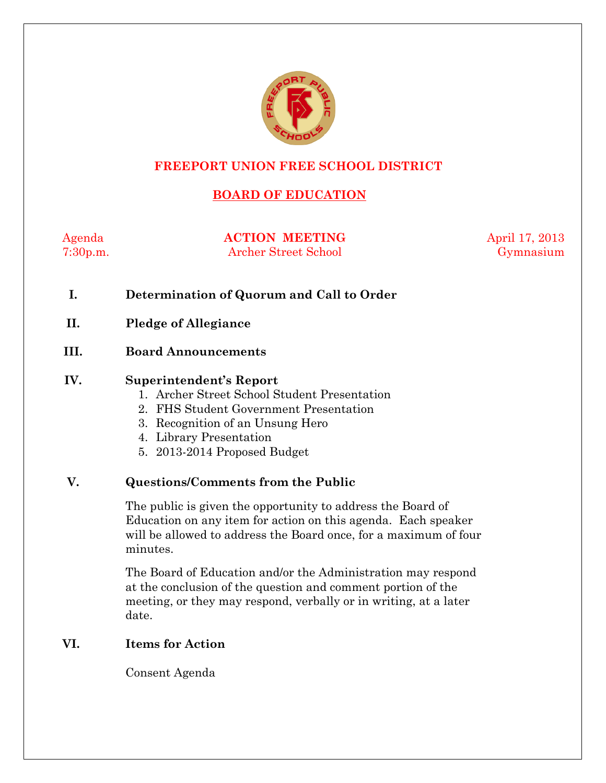

# **FREEPORT UNION FREE SCHOOL DISTRICT**

# **BOARD OF EDUCATION**

Agenda **ACTION MEETING** April 17, 2013 7:30p.m. Archer Street School Gymnasium

- **I. Determination of Quorum and Call to Order**
- **II. Pledge of Allegiance**

#### **III. Board Announcements**

#### **IV. Superintendent's Report**

- 1. Archer Street School Student Presentation
- 2. FHS Student Government Presentation
- 3. Recognition of an Unsung Hero
- 4. Library Presentation
- 5. 2013-2014 Proposed Budget

#### **V. Questions/Comments from the Public**

The public is given the opportunity to address the Board of Education on any item for action on this agenda. Each speaker will be allowed to address the Board once, for a maximum of four minutes.

The Board of Education and/or the Administration may respond at the conclusion of the question and comment portion of the meeting, or they may respond, verbally or in writing, at a later date.

### **VI. Items for Action**

Consent Agenda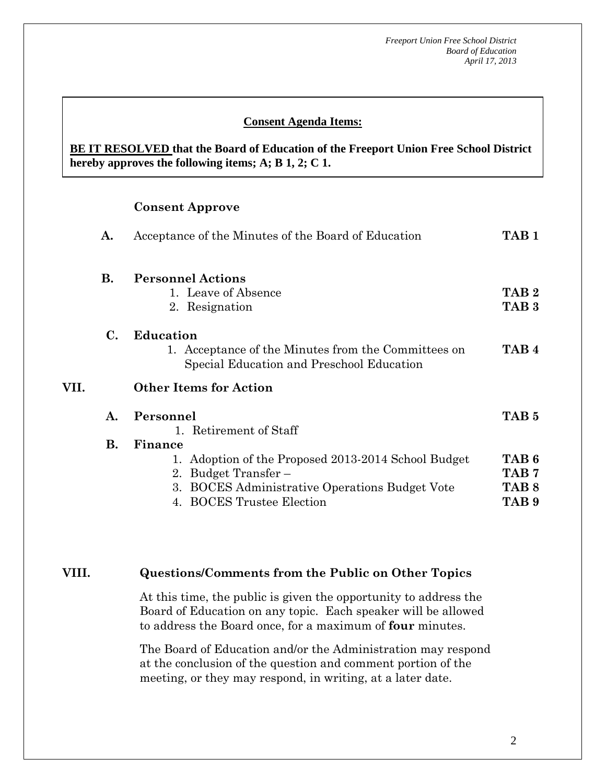#### **Consent Agenda Items:**

 *Acceptance of the Minutes*  $\mathbf{A}$ **BE IT RESOLVED that the Board of Education of the Freeport Union Free School District hereby approves the following items; A; B 1, 2; C 1.** 

#### **Consent Approve**

 **AA. Consent - Approve** 

|      | А.        | Acceptance of the Minutes of the Board of Education                                                                                                                   | TAB <sub>1</sub>                                                             |
|------|-----------|-----------------------------------------------------------------------------------------------------------------------------------------------------------------------|------------------------------------------------------------------------------|
|      | <b>B.</b> | <b>Personnel Actions</b><br>1. Leave of Absence<br>2. Resignation                                                                                                     | TAB <sub>2</sub><br>TAB <sub>3</sub>                                         |
|      | C.        | Education<br>1. Acceptance of the Minutes from the Committees on<br>Special Education and Preschool Education                                                         | TAB <sub>4</sub>                                                             |
| VII. |           | <b>Other Items for Action</b>                                                                                                                                         |                                                                              |
|      | A.        | Personnel<br>1. Retirement of Staff                                                                                                                                   | TAB <sub>5</sub>                                                             |
|      | В.        | Finance<br>1. Adoption of the Proposed 2013-2014 School Budget<br>2. Budget Transfer –<br>3. BOCES Administrative Operations Budget Vote<br>4. BOCES Trustee Election | TAB <sub>6</sub><br>TAB <sub>7</sub><br>TAB <sub>8</sub><br>TAB <sub>9</sub> |

#### **VIII. Questions/Comments from the Public on Other Topics**

At this time, the public is given the opportunity to address the Board of Education on any topic. Each speaker will be allowed to address the Board once, for a maximum of **four** minutes.

The Board of Education and/or the Administration may respond at the conclusion of the question and comment portion of the meeting, or they may respond, in writing, at a later date.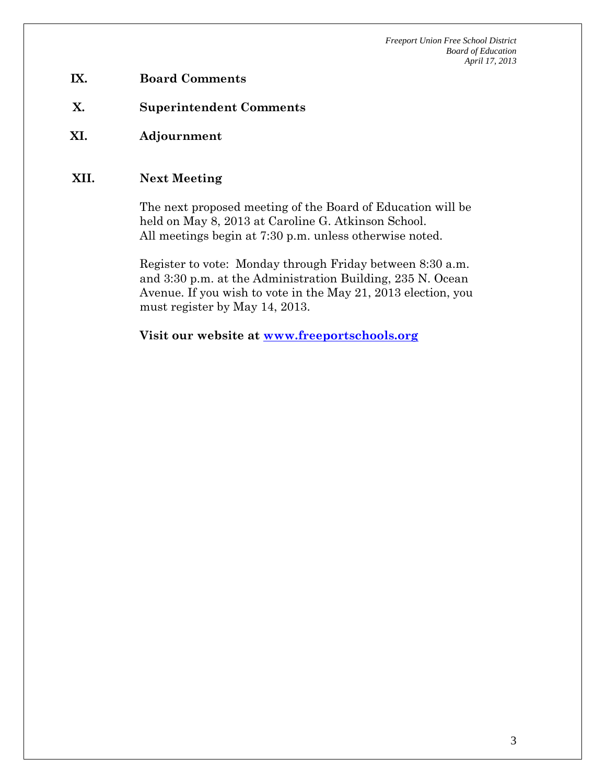- **IX. Board Comments**
- **X. Superintendent Comments**
- **XI. Adjournment**

#### **XII. Next Meeting**

The next proposed meeting of the Board of Education will be held on May 8, 2013 at Caroline G. Atkinson School. All meetings begin at 7:30 p.m. unless otherwise noted.

Register to vote: Monday through Friday between 8:30 a.m. and 3:30 p.m. at the Administration Building, 235 N. Ocean Avenue. If you wish to vote in the May 21, 2013 election, you must register by May 14, 2013.

**Visit our website at www.freeportschools.org**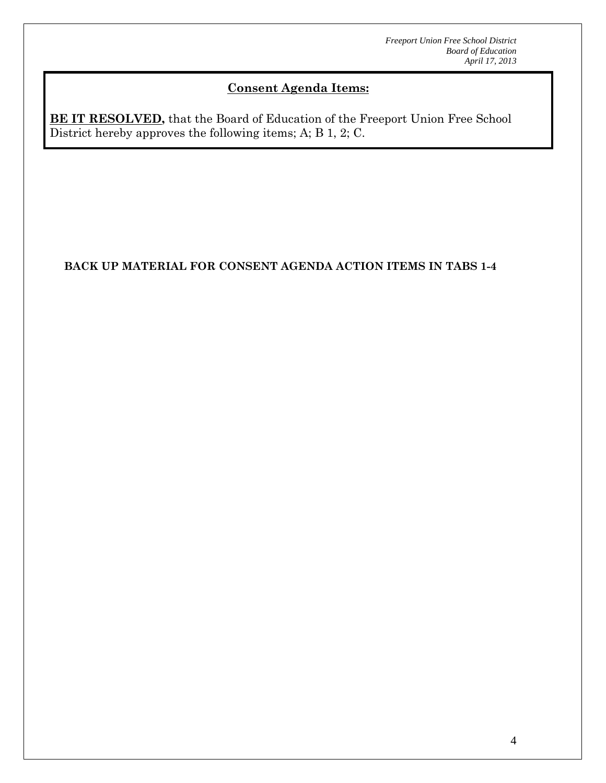# **Consent Agenda Items:**

**BE IT RESOLVED,** that the Board of Education of the Freeport Union Free School District hereby approves the following items; A; B 1, 2; C.

# **BACK UP MATERIAL FOR CONSENT AGENDA ACTION ITEMS IN TABS 1-4**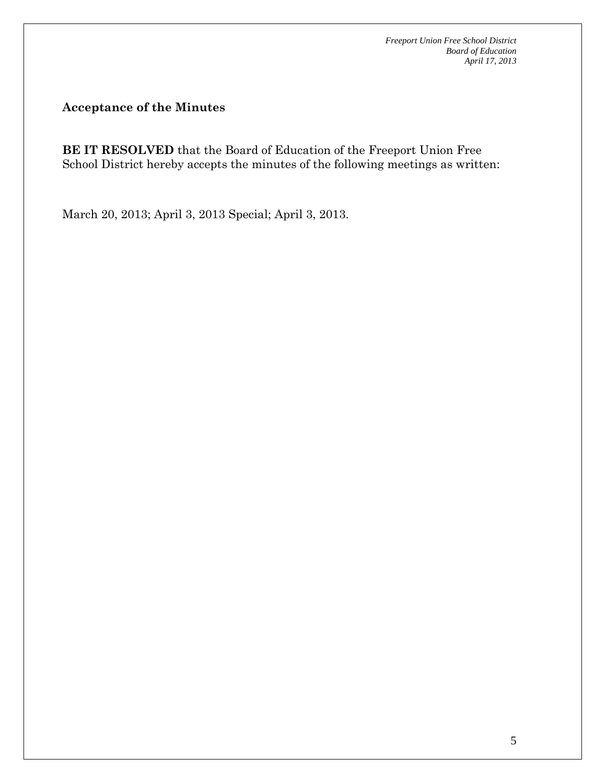**Acceptance of the Minutes** 

**BE IT RESOLVED** that the Board of Education of the Freeport Union Free School District hereby accepts the minutes of the following meetings as written:

March 20, 2013; April 3, 2013 Special; April 3, 2013.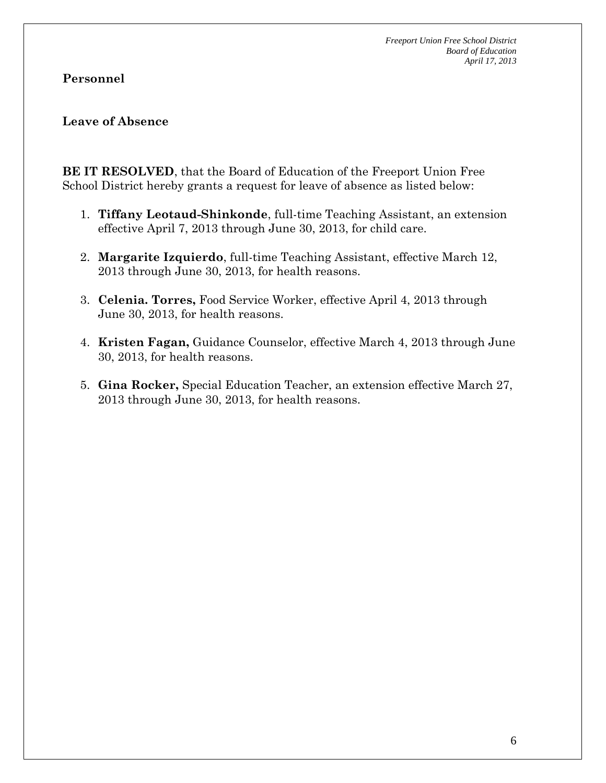### **Personnel**

#### **Leave of Absence**

**BE IT RESOLVED**, that the Board of Education of the Freeport Union Free School District hereby grants a request for leave of absence as listed below:

- 1. **Tiffany Leotaud-Shinkonde**, full-time Teaching Assistant, an extension effective April 7, 2013 through June 30, 2013, for child care.
- 2. **Margarite Izquierdo**, full-time Teaching Assistant, effective March 12, 2013 through June 30, 2013, for health reasons.
- 3. **Celenia. Torres,** Food Service Worker, effective April 4, 2013 through June 30, 2013, for health reasons.
- 4. **Kristen Fagan,** Guidance Counselor, effective March 4, 2013 through June 30, 2013, for health reasons.
- 5. **Gina Rocker,** Special Education Teacher, an extension effective March 27, 2013 through June 30, 2013, for health reasons.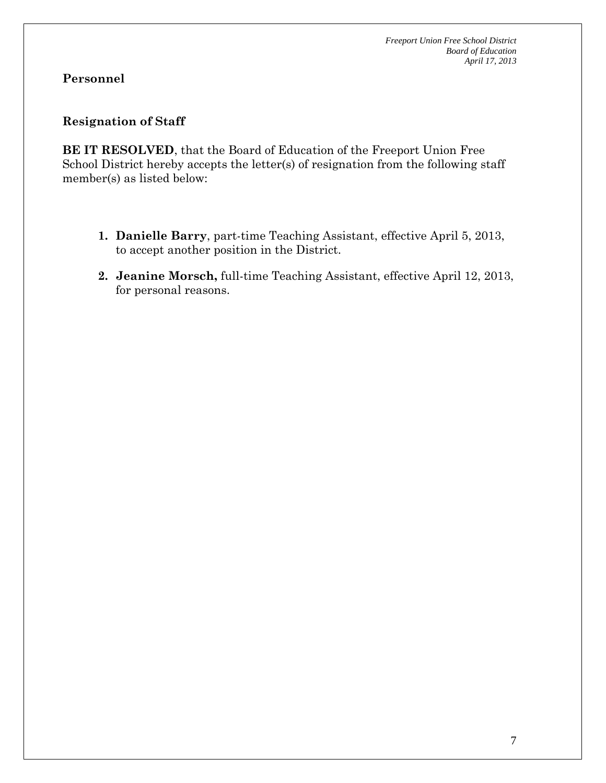# **Personnel**

# **Resignation of Staff**

**BE IT RESOLVED**, that the Board of Education of the Freeport Union Free School District hereby accepts the letter(s) of resignation from the following staff member(s) as listed below:

- **1. Danielle Barry**, part-time Teaching Assistant, effective April 5, 2013, to accept another position in the District.
- **2. Jeanine Morsch,** full-time Teaching Assistant, effective April 12, 2013, for personal reasons.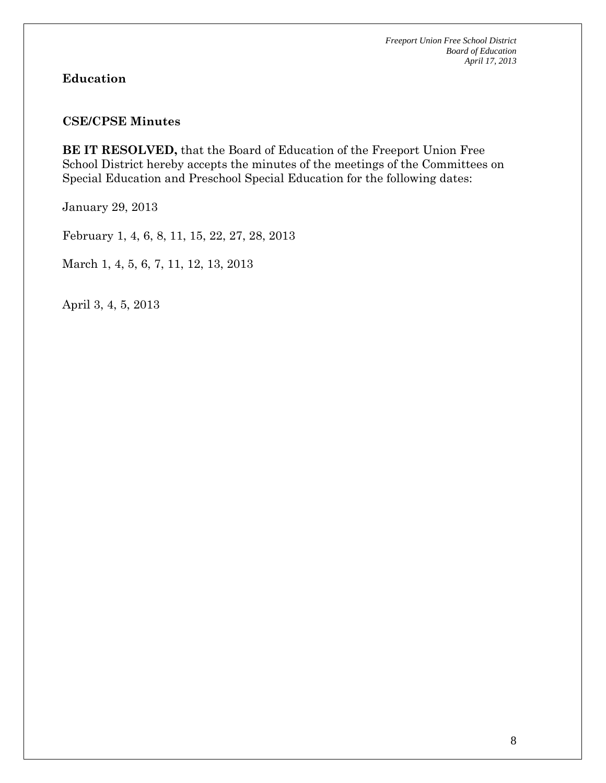# **Education**

#### **CSE/CPSE Minutes**

**BE IT RESOLVED,** that the Board of Education of the Freeport Union Free School District hereby accepts the minutes of the meetings of the Committees on Special Education and Preschool Special Education for the following dates:

January 29, 2013

February 1, 4, 6, 8, 11, 15, 22, 27, 28, 2013

March 1, 4, 5, 6, 7, 11, 12, 13, 2013

April 3, 4, 5, 2013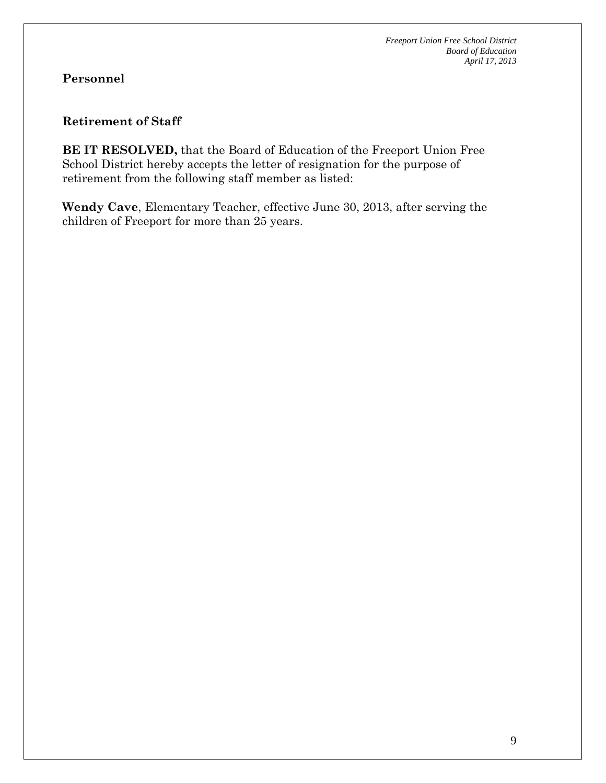# **Personnel**

#### **Retirement of Staff**

**BE IT RESOLVED,** that the Board of Education of the Freeport Union Free School District hereby accepts the letter of resignation for the purpose of retirement from the following staff member as listed:

**Wendy Cave**, Elementary Teacher, effective June 30, 2013, after serving the children of Freeport for more than 25 years.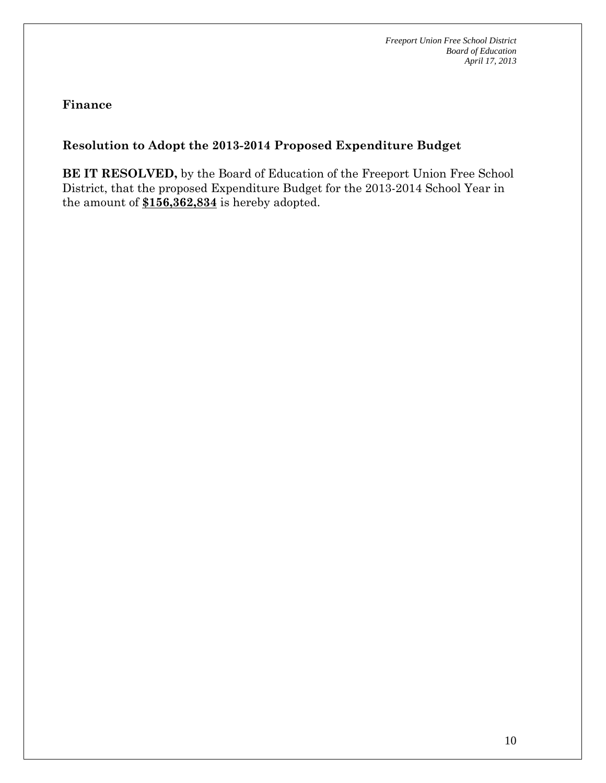**Finance** 

# **Resolution to Adopt the 2013-2014 Proposed Expenditure Budget**

**BE IT RESOLVED,** by the Board of Education of the Freeport Union Free School District, that the proposed Expenditure Budget for the 2013-2014 School Year in the amount of **\$156,362,834** is hereby adopted.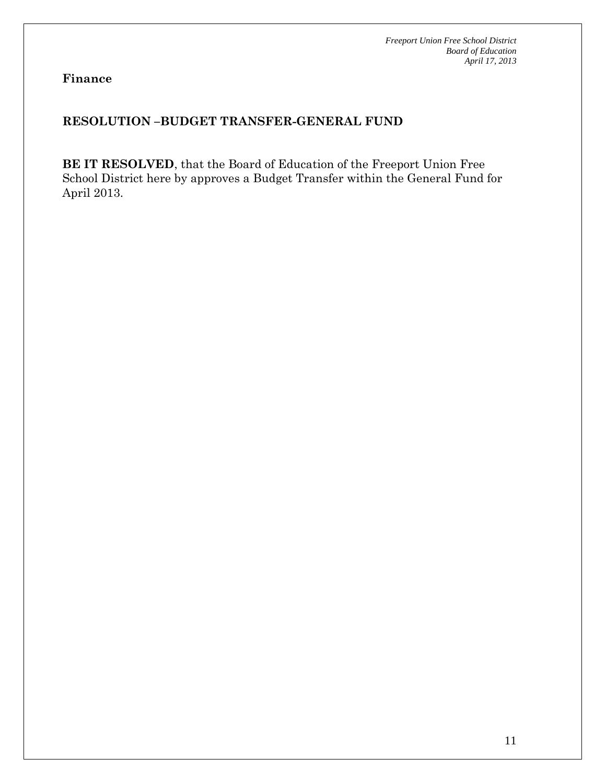**Finance** 

# **RESOLUTION –BUDGET TRANSFER-GENERAL FUND**

**BE IT RESOLVED**, that the Board of Education of the Freeport Union Free School District here by approves a Budget Transfer within the General Fund for April 2013.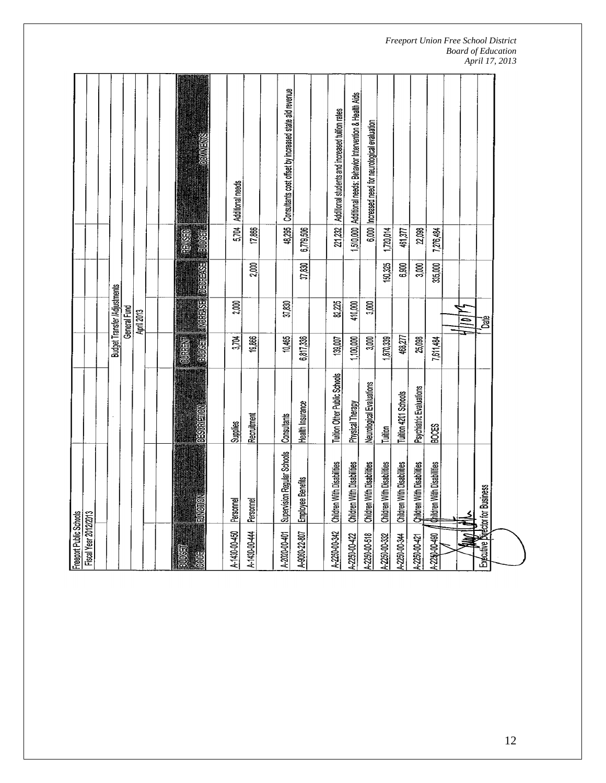| Freeport Public Schools |                                   |                                     |                 |                              |         |               |                                                                 |
|-------------------------|-----------------------------------|-------------------------------------|-----------------|------------------------------|---------|---------------|-----------------------------------------------------------------|
| Fiscal Year 2012/2013   |                                   |                                     |                 |                              |         |               |                                                                 |
|                         |                                   |                                     |                 |                              |         |               |                                                                 |
|                         |                                   |                                     |                 | Budget Transfer /Adjustments |         |               |                                                                 |
|                         |                                   |                                     |                 | General Fund                 |         |               |                                                                 |
|                         |                                   |                                     |                 | April 2013                   |         |               |                                                                 |
|                         |                                   |                                     |                 |                              |         |               |                                                                 |
|                         |                                   |                                     |                 |                              |         |               |                                                                 |
| <b>BUDGET</b>           |                                   |                                     | <b>FORE</b>     |                              |         | <b>BRITIS</b> |                                                                 |
| <b>BOOK</b>             | <b>EUVOTON</b>                    | <b>DESCRIPTION</b>                  | <b>INSURGED</b> | TNOREASE DECREASE HELDOSE    |         |               | BOOKHING                                                        |
| A-1430-00-450           | Personnel                         | <b>Supplies</b>                     | 3,704           | 2,000                        |         |               | 5,704 Additional needs                                          |
| A-1430-00-44            | Personnel                         | Recruitment                         | 19,866          |                              | 2,000   | 17,866        |                                                                 |
|                         |                                   |                                     |                 |                              |         |               |                                                                 |
| A-2020-00-401           | Supervision Regular Schools       | Consultants                         | 10,465          | 37,830                       |         |               | 48,295   Consultants cost offset by increased state aid revenue |
| A-9060-22-807           | Employee Benefits                 | Health Insurance                    | 6,817,336       |                              | 37,830  | 6,779,506     |                                                                 |
|                         |                                   |                                     |                 |                              |         |               |                                                                 |
| A-2250-00-342           | Children With Disabilities        | <b>Tuition Other Public Schools</b> | 139,007         | 82,225                       |         |               | 221,232   Additional students and increased tuition rates       |
| 4-2250-00-422           | Children With Disabilities        | <b>Physical Therapy</b>             | 1,100,000       | 410,000                      |         |               | 1,510,000 Additional needs: Behavior Intervention & Health Aids |
| 4-2250-00-518           | Children With Disabilities        | Neurological Evaluations            | 3,000           | 3,000                        |         |               | 6,000 Increased need for neurological evaluation                |
| 1.2250-00-332           | Children With Disabilities        | Tuition                             | 1,870,339       |                              | 150,325 | 1,720,014     |                                                                 |
| 4.2250-00-344           | Children With Disabilities        | Tuition 4201 Schools                | 468,277         |                              | 6,900   | 461,377       |                                                                 |
| 4.2250-00-421           | <b>Qhildren With Disabilities</b> | Psychiatric Evaluations             | 25,098          |                              | 3,000   | 22,098        |                                                                 |
| 4-2250-00-490           | Children With Disabilities        | <b>BOOES</b>                        | 7,611,484       |                              | 335,000 | 7,276,484     |                                                                 |
|                         |                                   |                                     |                 |                              |         |               |                                                                 |
|                         |                                   |                                     |                 | $\equiv$                     |         |               |                                                                 |
|                         | Exécutive Director for Business   |                                     |                 | ã,                           |         |               |                                                                 |
|                         |                                   |                                     |                 |                              |         |               |                                                                 |
|                         |                                   |                                     |                 |                              |         |               |                                                                 |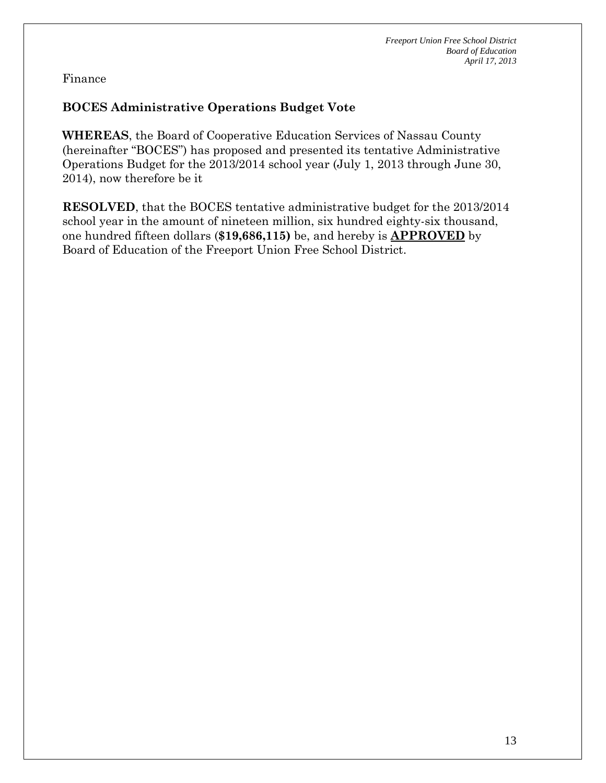Finance

# **BOCES Administrative Operations Budget Vote**

**WHEREAS**, the Board of Cooperative Education Services of Nassau County (hereinafter "BOCES") has proposed and presented its tentative Administrative Operations Budget for the 2013/2014 school year (July 1, 2013 through June 30, 2014), now therefore be it

**RESOLVED**, that the BOCES tentative administrative budget for the 2013/2014 school year in the amount of nineteen million, six hundred eighty-six thousand, one hundred fifteen dollars (**\$19,686,115)** be, and hereby is **APPROVED** by Board of Education of the Freeport Union Free School District.